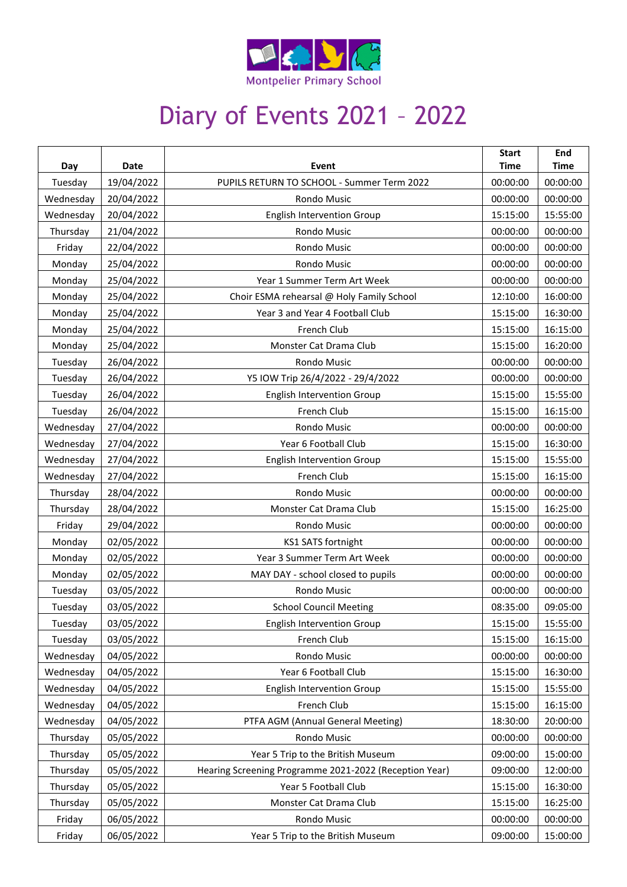

## Diary of Events 2021 – 2022

| Day       | Date       | Event                                                  | <b>Start</b><br><b>Time</b> | End<br><b>Time</b> |
|-----------|------------|--------------------------------------------------------|-----------------------------|--------------------|
| Tuesday   | 19/04/2022 | PUPILS RETURN TO SCHOOL - Summer Term 2022             | 00:00:00                    | 00:00:00           |
| Wednesday | 20/04/2022 | <b>Rondo Music</b>                                     | 00:00:00                    | 00:00:00           |
| Wednesday | 20/04/2022 | <b>English Intervention Group</b>                      | 15:15:00                    | 15:55:00           |
| Thursday  | 21/04/2022 | Rondo Music                                            | 00:00:00                    | 00:00:00           |
| Friday    | 22/04/2022 | Rondo Music                                            | 00:00:00                    | 00:00:00           |
| Monday    | 25/04/2022 | <b>Rondo Music</b>                                     | 00:00:00                    | 00:00:00           |
| Monday    | 25/04/2022 | Year 1 Summer Term Art Week                            | 00:00:00                    | 00:00:00           |
| Monday    | 25/04/2022 | Choir ESMA rehearsal @ Holy Family School              | 12:10:00                    | 16:00:00           |
| Monday    | 25/04/2022 | Year 3 and Year 4 Football Club                        | 15:15:00                    | 16:30:00           |
| Monday    | 25/04/2022 | French Club                                            | 15:15:00                    | 16:15:00           |
| Monday    | 25/04/2022 | Monster Cat Drama Club                                 | 15:15:00                    | 16:20:00           |
| Tuesday   | 26/04/2022 | Rondo Music                                            | 00:00:00                    | 00:00:00           |
| Tuesday   | 26/04/2022 | Y5 IOW Trip 26/4/2022 - 29/4/2022                      | 00:00:00                    | 00:00:00           |
| Tuesday   | 26/04/2022 | <b>English Intervention Group</b>                      | 15:15:00                    | 15:55:00           |
| Tuesday   | 26/04/2022 | French Club                                            | 15:15:00                    | 16:15:00           |
| Wednesday | 27/04/2022 | <b>Rondo Music</b>                                     | 00:00:00                    | 00:00:00           |
| Wednesday | 27/04/2022 | Year 6 Football Club                                   | 15:15:00                    | 16:30:00           |
| Wednesday | 27/04/2022 | <b>English Intervention Group</b>                      | 15:15:00                    | 15:55:00           |
| Wednesday | 27/04/2022 | French Club                                            | 15:15:00                    | 16:15:00           |
| Thursday  | 28/04/2022 | <b>Rondo Music</b>                                     | 00:00:00                    | 00:00:00           |
| Thursday  | 28/04/2022 | Monster Cat Drama Club                                 | 15:15:00                    | 16:25:00           |
| Friday    | 29/04/2022 | Rondo Music                                            | 00:00:00                    | 00:00:00           |
| Monday    | 02/05/2022 | KS1 SATS fortnight                                     | 00:00:00                    | 00:00:00           |
| Monday    | 02/05/2022 | Year 3 Summer Term Art Week                            | 00:00:00                    | 00:00:00           |
| Monday    | 02/05/2022 | MAY DAY - school closed to pupils                      | 00:00:00                    | 00:00:00           |
| Tuesday   | 03/05/2022 | Rondo Music                                            | 00:00:00                    | 00:00:00           |
| Tuesday   | 03/05/2022 | <b>School Council Meeting</b>                          | 08:35:00                    | 09:05:00           |
| Tuesday   | 03/05/2022 | <b>English Intervention Group</b>                      | 15:15:00                    | 15:55:00           |
| Tuesday   | 03/05/2022 | French Club                                            | 15:15:00                    | 16:15:00           |
| Wednesday | 04/05/2022 | Rondo Music                                            | 00:00:00                    | 00:00:00           |
| Wednesday | 04/05/2022 | Year 6 Football Club                                   | 15:15:00                    | 16:30:00           |
| Wednesday | 04/05/2022 | <b>English Intervention Group</b>                      | 15:15:00                    | 15:55:00           |
| Wednesday | 04/05/2022 | French Club                                            | 15:15:00                    | 16:15:00           |
| Wednesday | 04/05/2022 | PTFA AGM (Annual General Meeting)                      | 18:30:00                    | 20:00:00           |
| Thursday  | 05/05/2022 | Rondo Music                                            | 00:00:00                    | 00:00:00           |
| Thursday  | 05/05/2022 | Year 5 Trip to the British Museum                      | 09:00:00                    | 15:00:00           |
| Thursday  | 05/05/2022 | Hearing Screening Programme 2021-2022 (Reception Year) | 09:00:00                    | 12:00:00           |
| Thursday  | 05/05/2022 | Year 5 Football Club                                   | 15:15:00                    | 16:30:00           |
| Thursday  | 05/05/2022 | Monster Cat Drama Club                                 | 15:15:00                    | 16:25:00           |
| Friday    | 06/05/2022 | Rondo Music                                            | 00:00:00                    | 00:00:00           |
| Friday    | 06/05/2022 | Year 5 Trip to the British Museum                      | 09:00:00                    | 15:00:00           |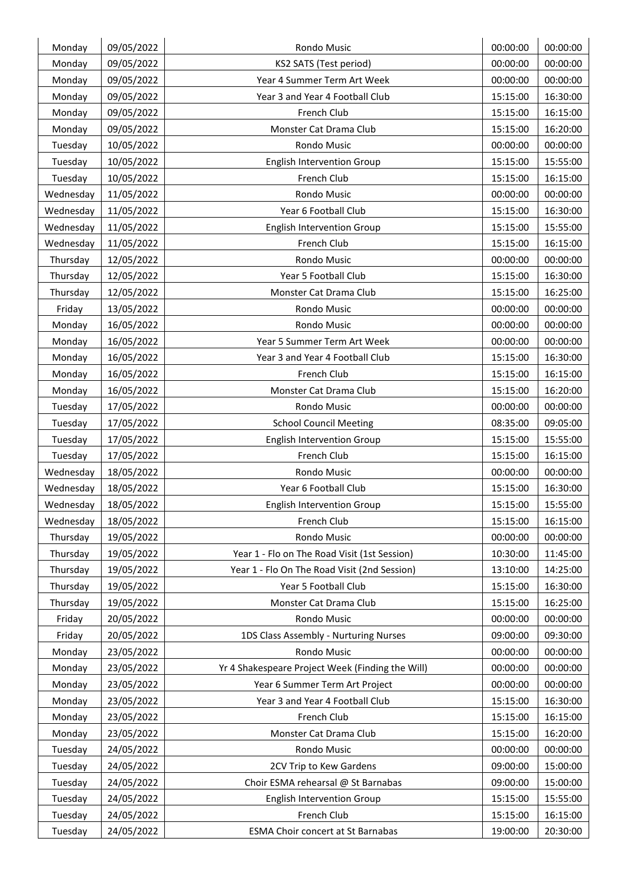| Monday             | 09/05/2022 | <b>Rondo Music</b>                               | 00:00:00 | 00:00:00 |
|--------------------|------------|--------------------------------------------------|----------|----------|
| Monday             | 09/05/2022 | KS2 SATS (Test period)                           | 00:00:00 | 00:00:00 |
| Monday             | 09/05/2022 | Year 4 Summer Term Art Week                      | 00:00:00 | 00:00:00 |
| Monday             | 09/05/2022 | Year 3 and Year 4 Football Club                  | 15:15:00 | 16:30:00 |
| Monday             | 09/05/2022 | French Club                                      | 15:15:00 | 16:15:00 |
| Monday             | 09/05/2022 | Monster Cat Drama Club                           | 15:15:00 | 16:20:00 |
| Tuesday            | 10/05/2022 | Rondo Music                                      | 00:00:00 | 00:00:00 |
| Tuesday            | 10/05/2022 | <b>English Intervention Group</b>                | 15:15:00 | 15:55:00 |
| Tuesday            | 10/05/2022 | French Club                                      | 15:15:00 | 16:15:00 |
| Wednesday          | 11/05/2022 | Rondo Music                                      | 00:00:00 | 00:00:00 |
| Wednesday          | 11/05/2022 | Year 6 Football Club                             | 15:15:00 | 16:30:00 |
| Wednesday          | 11/05/2022 | <b>English Intervention Group</b>                | 15:15:00 | 15:55:00 |
| Wednesday          | 11/05/2022 | French Club                                      | 15:15:00 | 16:15:00 |
| Thursday           | 12/05/2022 | Rondo Music                                      | 00:00:00 | 00:00:00 |
| Thursday           | 12/05/2022 | Year 5 Football Club                             | 15:15:00 | 16:30:00 |
| Thursday           | 12/05/2022 | Monster Cat Drama Club                           | 15:15:00 | 16:25:00 |
| Friday             | 13/05/2022 | Rondo Music                                      | 00:00:00 | 00:00:00 |
| Monday             | 16/05/2022 | <b>Rondo Music</b>                               | 00:00:00 | 00:00:00 |
| Monday             | 16/05/2022 | Year 5 Summer Term Art Week                      | 00:00:00 | 00:00:00 |
| Monday             | 16/05/2022 | Year 3 and Year 4 Football Club                  | 15:15:00 | 16:30:00 |
| Monday             | 16/05/2022 | French Club                                      | 15:15:00 | 16:15:00 |
| Monday             | 16/05/2022 | Monster Cat Drama Club                           | 15:15:00 | 16:20:00 |
| Tuesday            | 17/05/2022 | Rondo Music                                      | 00:00:00 | 00:00:00 |
| Tuesday            | 17/05/2022 | <b>School Council Meeting</b>                    | 08:35:00 | 09:05:00 |
| Tuesday            | 17/05/2022 | <b>English Intervention Group</b>                | 15:15:00 | 15:55:00 |
| Tuesday            | 17/05/2022 | French Club                                      | 15:15:00 | 16:15:00 |
| Wednesday          | 18/05/2022 | Rondo Music                                      | 00:00:00 | 00:00:00 |
| Wednesday          | 18/05/2022 | Year 6 Football Club                             | 15:15:00 | 16:30:00 |
| Wednesday          | 18/05/2022 | <b>English Intervention Group</b>                | 15:15:00 | 15:55:00 |
| Wednesday          | 18/05/2022 | French Club                                      | 15:15:00 | 16:15:00 |
| Thursday           | 19/05/2022 | Rondo Music                                      | 00:00:00 | 00:00:00 |
| Thursday           | 19/05/2022 | Year 1 - Flo on The Road Visit (1st Session)     | 10:30:00 | 11:45:00 |
| Thursday           | 19/05/2022 | Year 1 - Flo On The Road Visit (2nd Session)     | 13:10:00 | 14:25:00 |
| Thursday           | 19/05/2022 | Year 5 Football Club                             | 15:15:00 | 16:30:00 |
| Thursday           | 19/05/2022 | Monster Cat Drama Club                           | 15:15:00 | 16:25:00 |
| Friday             | 20/05/2022 | Rondo Music                                      | 00:00:00 | 00:00:00 |
| Friday             | 20/05/2022 | 1DS Class Assembly - Nurturing Nurses            | 09:00:00 | 09:30:00 |
| Monday             | 23/05/2022 | Rondo Music                                      | 00:00:00 | 00:00:00 |
| Monday             | 23/05/2022 | Yr 4 Shakespeare Project Week (Finding the Will) | 00:00:00 | 00:00:00 |
| Monday             | 23/05/2022 | Year 6 Summer Term Art Project                   | 00:00:00 | 00:00:00 |
| Monday             | 23/05/2022 | Year 3 and Year 4 Football Club                  | 15:15:00 | 16:30:00 |
| Monday             | 23/05/2022 | French Club                                      | 15:15:00 | 16:15:00 |
| Monday             | 23/05/2022 | Monster Cat Drama Club                           | 15:15:00 | 16:20:00 |
| Tuesday            | 24/05/2022 | Rondo Music                                      | 00:00:00 | 00:00:00 |
| Tuesday            | 24/05/2022 | 2CV Trip to Kew Gardens                          | 09:00:00 | 15:00:00 |
| Tuesday            | 24/05/2022 | Choir ESMA rehearsal @ St Barnabas               | 09:00:00 | 15:00:00 |
|                    | 24/05/2022 | <b>English Intervention Group</b>                | 15:15:00 | 15:55:00 |
|                    |            |                                                  |          |          |
| Tuesday<br>Tuesday | 24/05/2022 | French Club                                      | 15:15:00 | 16:15:00 |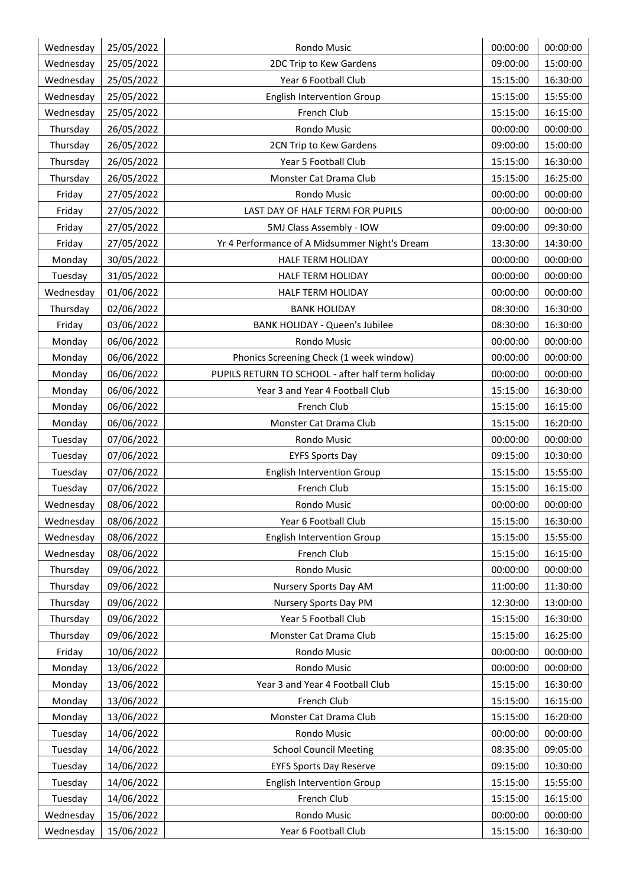| Wednesday | 25/05/2022 | Rondo Music                                       | 00:00:00 | 00:00:00 |
|-----------|------------|---------------------------------------------------|----------|----------|
| Wednesday | 25/05/2022 | 2DC Trip to Kew Gardens                           | 09:00:00 | 15:00:00 |
| Wednesday | 25/05/2022 | Year 6 Football Club                              | 15:15:00 | 16:30:00 |
| Wednesday | 25/05/2022 | <b>English Intervention Group</b>                 | 15:15:00 | 15:55:00 |
| Wednesday | 25/05/2022 | French Club                                       | 15:15:00 | 16:15:00 |
| Thursday  | 26/05/2022 | Rondo Music                                       | 00:00:00 | 00:00:00 |
| Thursday  | 26/05/2022 | 2CN Trip to Kew Gardens                           | 09:00:00 | 15:00:00 |
| Thursday  | 26/05/2022 | Year 5 Football Club                              | 15:15:00 | 16:30:00 |
| Thursday  | 26/05/2022 | Monster Cat Drama Club                            | 15:15:00 | 16:25:00 |
| Friday    | 27/05/2022 | Rondo Music                                       | 00:00:00 | 00:00:00 |
| Friday    | 27/05/2022 | LAST DAY OF HALF TERM FOR PUPILS                  | 00:00:00 | 00:00:00 |
| Friday    | 27/05/2022 | 5MJ Class Assembly - IOW                          | 09:00:00 | 09:30:00 |
| Friday    | 27/05/2022 | Yr 4 Performance of A Midsummer Night's Dream     | 13:30:00 | 14:30:00 |
| Monday    | 30/05/2022 | HALF TERM HOLIDAY                                 | 00:00:00 | 00:00:00 |
| Tuesday   | 31/05/2022 | HALF TERM HOLIDAY                                 | 00:00:00 | 00:00:00 |
| Wednesday | 01/06/2022 | HALF TERM HOLIDAY                                 | 00:00:00 | 00:00:00 |
| Thursday  | 02/06/2022 | <b>BANK HOLIDAY</b>                               | 08:30:00 | 16:30:00 |
| Friday    | 03/06/2022 | <b>BANK HOLIDAY - Queen's Jubilee</b>             | 08:30:00 | 16:30:00 |
| Monday    | 06/06/2022 | Rondo Music                                       | 00:00:00 | 00:00:00 |
| Monday    | 06/06/2022 | Phonics Screening Check (1 week window)           | 00:00:00 | 00:00:00 |
| Monday    | 06/06/2022 | PUPILS RETURN TO SCHOOL - after half term holiday | 00:00:00 | 00:00:00 |
| Monday    | 06/06/2022 | Year 3 and Year 4 Football Club                   | 15:15:00 | 16:30:00 |
| Monday    | 06/06/2022 | French Club                                       | 15:15:00 | 16:15:00 |
| Monday    | 06/06/2022 | Monster Cat Drama Club                            | 15:15:00 | 16:20:00 |
| Tuesday   | 07/06/2022 | Rondo Music                                       | 00:00:00 | 00:00:00 |
| Tuesday   | 07/06/2022 | <b>EYFS Sports Day</b>                            | 09:15:00 | 10:30:00 |
| Tuesday   | 07/06/2022 | <b>English Intervention Group</b>                 | 15:15:00 | 15:55:00 |
| Tuesday   | 07/06/2022 | French Club                                       | 15:15:00 | 16:15:00 |
| Wednesday | 08/06/2022 | Rondo Music                                       | 00:00:00 | 00:00:00 |
| Wednesday | 08/06/2022 | Year 6 Football Club                              | 15:15:00 | 16:30:00 |
| Wednesday | 08/06/2022 | <b>English Intervention Group</b>                 | 15:15:00 | 15:55:00 |
| Wednesday | 08/06/2022 | French Club                                       | 15:15:00 | 16:15:00 |
| Thursday  | 09/06/2022 | Rondo Music                                       | 00:00:00 | 00:00:00 |
| Thursday  | 09/06/2022 | Nursery Sports Day AM                             | 11:00:00 | 11:30:00 |
| Thursday  | 09/06/2022 | Nursery Sports Day PM                             | 12:30:00 | 13:00:00 |
| Thursday  | 09/06/2022 | Year 5 Football Club                              | 15:15:00 | 16:30:00 |
| Thursday  | 09/06/2022 | Monster Cat Drama Club                            | 15:15:00 | 16:25:00 |
| Friday    | 10/06/2022 | Rondo Music                                       | 00:00:00 | 00:00:00 |
| Monday    | 13/06/2022 | Rondo Music                                       | 00:00:00 | 00:00:00 |
| Monday    | 13/06/2022 | Year 3 and Year 4 Football Club                   | 15:15:00 | 16:30:00 |
| Monday    | 13/06/2022 | French Club                                       | 15:15:00 | 16:15:00 |
| Monday    | 13/06/2022 | Monster Cat Drama Club                            | 15:15:00 | 16:20:00 |
| Tuesday   | 14/06/2022 | Rondo Music                                       | 00:00:00 | 00:00:00 |
| Tuesday   | 14/06/2022 | <b>School Council Meeting</b>                     | 08:35:00 | 09:05:00 |
| Tuesday   | 14/06/2022 | <b>EYFS Sports Day Reserve</b>                    | 09:15:00 | 10:30:00 |
| Tuesday   | 14/06/2022 | <b>English Intervention Group</b>                 | 15:15:00 | 15:55:00 |
| Tuesday   | 14/06/2022 | French Club                                       | 15:15:00 | 16:15:00 |
| Wednesday | 15/06/2022 | Rondo Music                                       | 00:00:00 | 00:00:00 |
| Wednesday | 15/06/2022 | Year 6 Football Club                              | 15:15:00 | 16:30:00 |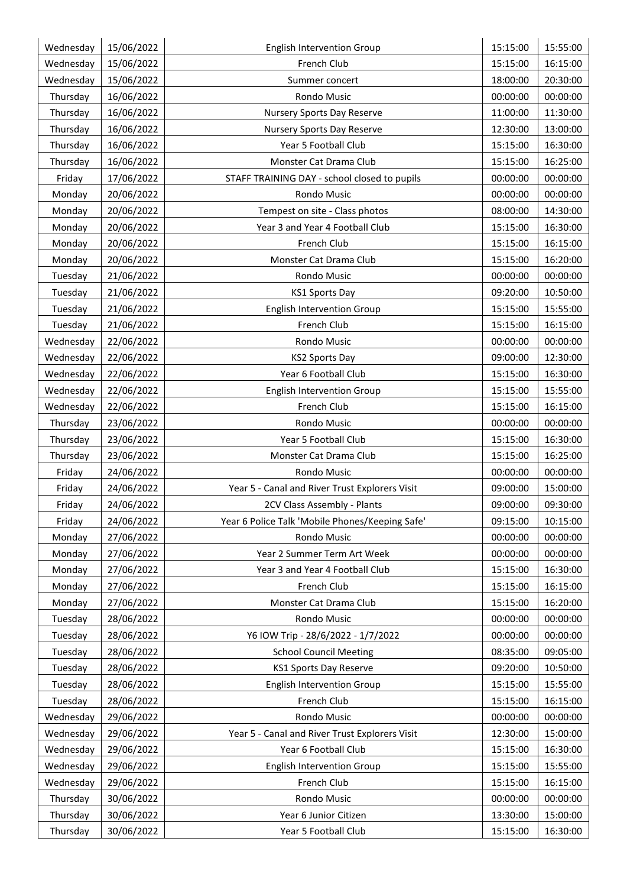| Wednesday | 15/06/2022 | <b>English Intervention Group</b>               | 15:15:00 | 15:55:00 |
|-----------|------------|-------------------------------------------------|----------|----------|
| Wednesday | 15/06/2022 | French Club                                     | 15:15:00 | 16:15:00 |
| Wednesday | 15/06/2022 | Summer concert                                  | 18:00:00 | 20:30:00 |
| Thursday  | 16/06/2022 | <b>Rondo Music</b>                              | 00:00:00 | 00:00:00 |
| Thursday  | 16/06/2022 | Nursery Sports Day Reserve                      | 11:00:00 | 11:30:00 |
| Thursday  | 16/06/2022 | Nursery Sports Day Reserve                      | 12:30:00 | 13:00:00 |
| Thursday  | 16/06/2022 | Year 5 Football Club                            | 15:15:00 | 16:30:00 |
| Thursday  | 16/06/2022 | Monster Cat Drama Club                          | 15:15:00 | 16:25:00 |
| Friday    | 17/06/2022 | STAFF TRAINING DAY - school closed to pupils    | 00:00:00 | 00:00:00 |
| Monday    | 20/06/2022 | Rondo Music                                     | 00:00:00 | 00:00:00 |
| Monday    | 20/06/2022 | Tempest on site - Class photos                  | 08:00:00 | 14:30:00 |
| Monday    | 20/06/2022 | Year 3 and Year 4 Football Club                 | 15:15:00 | 16:30:00 |
| Monday    | 20/06/2022 | French Club                                     | 15:15:00 | 16:15:00 |
| Monday    | 20/06/2022 | Monster Cat Drama Club                          | 15:15:00 | 16:20:00 |
| Tuesday   | 21/06/2022 | Rondo Music                                     | 00:00:00 | 00:00:00 |
| Tuesday   | 21/06/2022 | <b>KS1 Sports Day</b>                           | 09:20:00 | 10:50:00 |
| Tuesday   | 21/06/2022 | <b>English Intervention Group</b>               | 15:15:00 | 15:55:00 |
| Tuesday   | 21/06/2022 | <b>French Club</b>                              | 15:15:00 | 16:15:00 |
| Wednesday | 22/06/2022 | Rondo Music                                     | 00:00:00 | 00:00:00 |
| Wednesday | 22/06/2022 | <b>KS2 Sports Day</b>                           | 09:00:00 | 12:30:00 |
| Wednesday | 22/06/2022 | Year 6 Football Club                            | 15:15:00 | 16:30:00 |
| Wednesday | 22/06/2022 | <b>English Intervention Group</b>               | 15:15:00 | 15:55:00 |
| Wednesday | 22/06/2022 | French Club                                     | 15:15:00 | 16:15:00 |
| Thursday  | 23/06/2022 | <b>Rondo Music</b>                              | 00:00:00 | 00:00:00 |
| Thursday  | 23/06/2022 | Year 5 Football Club                            | 15:15:00 | 16:30:00 |
| Thursday  | 23/06/2022 | Monster Cat Drama Club                          | 15:15:00 | 16:25:00 |
| Friday    | 24/06/2022 | Rondo Music                                     | 00:00:00 | 00:00:00 |
| Friday    | 24/06/2022 | Year 5 - Canal and River Trust Explorers Visit  | 09:00:00 | 15:00:00 |
| Friday    | 24/06/2022 | 2CV Class Assembly - Plants                     | 09:00:00 | 09:30:00 |
| Friday    | 24/06/2022 | Year 6 Police Talk 'Mobile Phones/Keeping Safe' | 09:15:00 | 10:15:00 |
| Monday    | 27/06/2022 | Rondo Music                                     | 00:00:00 | 00:00:00 |
| Monday    | 27/06/2022 | Year 2 Summer Term Art Week                     | 00:00:00 | 00:00:00 |
| Monday    | 27/06/2022 | Year 3 and Year 4 Football Club                 | 15:15:00 | 16:30:00 |
| Monday    | 27/06/2022 | French Club                                     | 15:15:00 | 16:15:00 |
| Monday    | 27/06/2022 | Monster Cat Drama Club                          | 15:15:00 | 16:20:00 |
| Tuesday   | 28/06/2022 | Rondo Music                                     | 00:00:00 | 00:00:00 |
| Tuesday   | 28/06/2022 | Y6 IOW Trip - 28/6/2022 - 1/7/2022              | 00:00:00 | 00:00:00 |
| Tuesday   | 28/06/2022 | <b>School Council Meeting</b>                   | 08:35:00 | 09:05:00 |
| Tuesday   | 28/06/2022 | <b>KS1 Sports Day Reserve</b>                   | 09:20:00 | 10:50:00 |
| Tuesday   | 28/06/2022 | <b>English Intervention Group</b>               | 15:15:00 | 15:55:00 |
| Tuesday   | 28/06/2022 | French Club                                     | 15:15:00 | 16:15:00 |
| Wednesday | 29/06/2022 | Rondo Music                                     | 00:00:00 | 00:00:00 |
| Wednesday | 29/06/2022 | Year 5 - Canal and River Trust Explorers Visit  | 12:30:00 | 15:00:00 |
| Wednesday | 29/06/2022 | Year 6 Football Club                            | 15:15:00 | 16:30:00 |
| Wednesday | 29/06/2022 | <b>English Intervention Group</b>               | 15:15:00 | 15:55:00 |
| Wednesday | 29/06/2022 | French Club                                     | 15:15:00 | 16:15:00 |
| Thursday  | 30/06/2022 | Rondo Music                                     | 00:00:00 | 00:00:00 |
| Thursday  | 30/06/2022 | Year 6 Junior Citizen                           | 13:30:00 | 15:00:00 |
| Thursday  | 30/06/2022 | Year 5 Football Club                            | 15:15:00 | 16:30:00 |
|           |            |                                                 |          |          |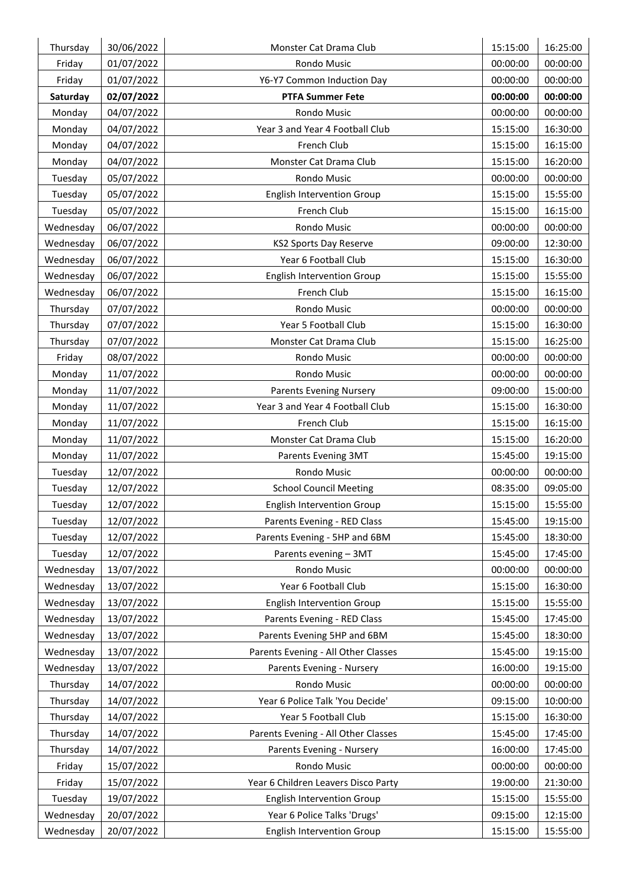| Thursday  | 30/06/2022 | Monster Cat Drama Club              | 15:15:00 | 16:25:00 |
|-----------|------------|-------------------------------------|----------|----------|
| Friday    | 01/07/2022 | Rondo Music                         | 00:00:00 | 00:00:00 |
| Friday    | 01/07/2022 | Y6-Y7 Common Induction Day          | 00:00:00 | 00:00:00 |
| Saturday  | 02/07/2022 | <b>PTFA Summer Fete</b>             | 00:00:00 | 00:00:00 |
| Monday    | 04/07/2022 | <b>Rondo Music</b>                  | 00:00:00 | 00:00:00 |
| Monday    | 04/07/2022 | Year 3 and Year 4 Football Club     | 15:15:00 | 16:30:00 |
| Monday    | 04/07/2022 | French Club                         | 15:15:00 | 16:15:00 |
| Monday    | 04/07/2022 | Monster Cat Drama Club              | 15:15:00 | 16:20:00 |
| Tuesday   | 05/07/2022 | Rondo Music                         | 00:00:00 | 00:00:00 |
| Tuesday   | 05/07/2022 | <b>English Intervention Group</b>   | 15:15:00 | 15:55:00 |
| Tuesday   | 05/07/2022 | French Club                         | 15:15:00 | 16:15:00 |
| Wednesday | 06/07/2022 | Rondo Music                         | 00:00:00 | 00:00:00 |
| Wednesday | 06/07/2022 | <b>KS2 Sports Day Reserve</b>       | 09:00:00 | 12:30:00 |
| Wednesday | 06/07/2022 | Year 6 Football Club                | 15:15:00 | 16:30:00 |
| Wednesday | 06/07/2022 | <b>English Intervention Group</b>   | 15:15:00 | 15:55:00 |
| Wednesday | 06/07/2022 | French Club                         | 15:15:00 | 16:15:00 |
| Thursday  | 07/07/2022 | Rondo Music                         | 00:00:00 | 00:00:00 |
| Thursday  | 07/07/2022 | Year 5 Football Club                | 15:15:00 | 16:30:00 |
| Thursday  | 07/07/2022 | Monster Cat Drama Club              | 15:15:00 | 16:25:00 |
| Friday    | 08/07/2022 | Rondo Music                         | 00:00:00 | 00:00:00 |
| Monday    | 11/07/2022 | Rondo Music                         | 00:00:00 | 00:00:00 |
| Monday    | 11/07/2022 | <b>Parents Evening Nursery</b>      | 09:00:00 | 15:00:00 |
| Monday    | 11/07/2022 | Year 3 and Year 4 Football Club     | 15:15:00 | 16:30:00 |
| Monday    | 11/07/2022 | French Club                         | 15:15:00 | 16:15:00 |
| Monday    | 11/07/2022 | Monster Cat Drama Club              | 15:15:00 | 16:20:00 |
| Monday    | 11/07/2022 | Parents Evening 3MT                 | 15:45:00 | 19:15:00 |
| Tuesday   | 12/07/2022 | Rondo Music                         | 00:00:00 | 00:00:00 |
| Tuesday   | 12/07/2022 | <b>School Council Meeting</b>       | 08:35:00 | 09:05:00 |
| Tuesday   | 12/07/2022 | <b>English Intervention Group</b>   | 15:15:00 | 15:55:00 |
| Tuesday   | 12/07/2022 | Parents Evening - RED Class         | 15:45:00 | 19:15:00 |
| Tuesday   | 12/07/2022 | Parents Evening - 5HP and 6BM       | 15:45:00 | 18:30:00 |
| Tuesday   | 12/07/2022 | Parents evening - 3MT               | 15:45:00 | 17:45:00 |
| Wednesday | 13/07/2022 | Rondo Music                         | 00:00:00 | 00:00:00 |
| Wednesday | 13/07/2022 | Year 6 Football Club                | 15:15:00 | 16:30:00 |
| Wednesday | 13/07/2022 | <b>English Intervention Group</b>   | 15:15:00 | 15:55:00 |
| Wednesday | 13/07/2022 | Parents Evening - RED Class         | 15:45:00 | 17:45:00 |
| Wednesday | 13/07/2022 | Parents Evening 5HP and 6BM         | 15:45:00 | 18:30:00 |
| Wednesday | 13/07/2022 | Parents Evening - All Other Classes | 15:45:00 | 19:15:00 |
| Wednesday | 13/07/2022 | Parents Evening - Nursery           | 16:00:00 | 19:15:00 |
| Thursday  | 14/07/2022 | Rondo Music                         | 00:00:00 | 00:00:00 |
| Thursday  | 14/07/2022 | Year 6 Police Talk 'You Decide'     | 09:15:00 | 10:00:00 |
| Thursday  | 14/07/2022 | Year 5 Football Club                | 15:15:00 | 16:30:00 |
| Thursday  | 14/07/2022 | Parents Evening - All Other Classes | 15:45:00 | 17:45:00 |
| Thursday  | 14/07/2022 | Parents Evening - Nursery           | 16:00:00 | 17:45:00 |
|           |            |                                     | 00:00:00 |          |
| Friday    | 15/07/2022 | Rondo Music                         |          | 00:00:00 |
| Friday    | 15/07/2022 | Year 6 Children Leavers Disco Party | 19:00:00 | 21:30:00 |
| Tuesday   | 19/07/2022 | <b>English Intervention Group</b>   | 15:15:00 | 15:55:00 |
| Wednesday | 20/07/2022 | Year 6 Police Talks 'Drugs'         | 09:15:00 | 12:15:00 |
| Wednesday | 20/07/2022 | <b>English Intervention Group</b>   | 15:15:00 | 15:55:00 |